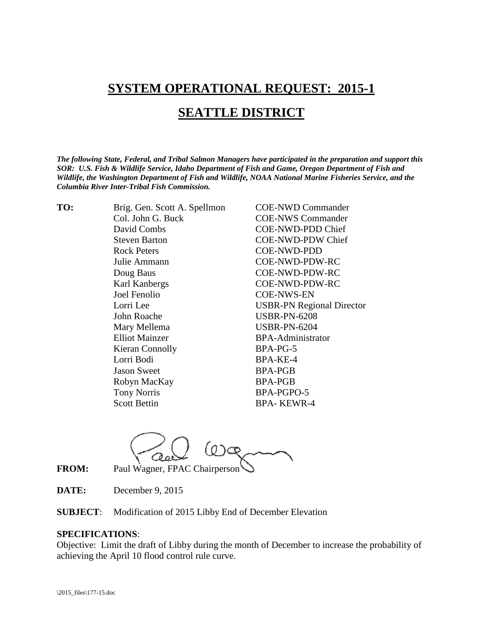## **SYSTEM OPERATIONAL REQUEST: 2015-1**

## **SEATTLE DISTRICT**

*The following State, Federal, and Tribal Salmon Managers have participated in the preparation and support this SOR: U.S. Fish & Wildlife Service, Idaho Department of Fish and Game, Oregon Department of Fish and Wildlife, the Washington Department of Fish and Wildlife, NOAA National Marine Fisheries Service, and the Columbia River Inter-Tribal Fish Commission.*

**TO:** Brig. Gen. Scott A. Spellmon COE-NWD Commander Col. John G. Buck COE-NWS Commander David Combs COE-NWD-PDD Chief Steven Barton COE-NWD-PDW Chief Rock Peters COE-NWD-PDD Julie Ammann COE-NWD-PDW-RC Doug Baus COE-NWD-PDW-RC Karl Kanbergs COE-NWD-PDW-RC Joel Fenolio COE-NWS-EN Lorri Lee USBR-PN Regional Director John Roache USBR-PN-6208 Mary Mellema USBR-PN-6204 Elliot Mainzer BPA-Administrator Kieran Connolly BPA-PG-5 Lorri Bodi BPA-KE-4 Jason Sweet BPA-PGB Robyn MacKay BPA-PGB Tony Norris BPA-PGPO-5 Scott Bettin BPA- KEWR-4

**FROM:** Paul Wagner, FPAC Chairperson

**DATE:** December 9, 2015

**SUBJECT**: Modification of 2015 Libby End of December Elevation

## **SPECIFICATIONS**:

Objective: Limit the draft of Libby during the month of December to increase the probability of achieving the April 10 flood control rule curve.